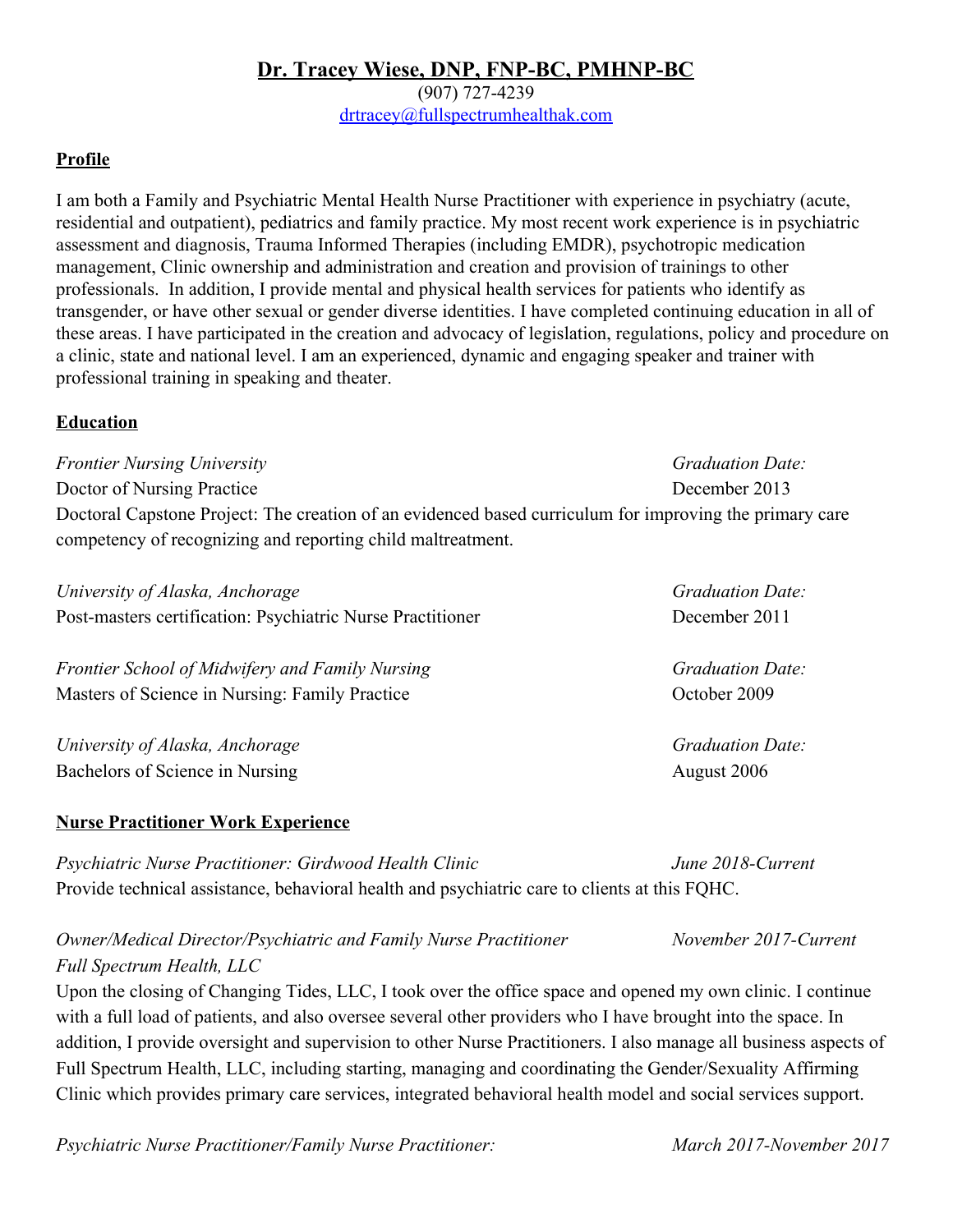# **Dr. Tracey Wiese, DNP, FNP-BC, PMHNP-BC**

(907) 727-4239 drtracey@fullspectrumhealthak.com

## **Profile**

I am both a Family and Psychiatric Mental Health Nurse Practitioner with experience in psychiatry (acute, residential and outpatient), pediatrics and family practice. My most recent work experience is in psychiatric assessment and diagnosis, Trauma Informed Therapies (including EMDR), psychotropic medication management, Clinic ownership and administration and creation and provision of trainings to other professionals. In addition, I provide mental and physical health services for patients who identify as transgender, or have other sexual or gender diverse identities. I have completed continuing education in all of these areas. I have participated in the creation and advocacy of legislation, regulations, policy and procedure on a clinic, state and national level. I am an experienced, dynamic and engaging speaker and trainer with professional training in speaking and theater.

### **Education**

*Frontier Nursing University Graduation Date:* Doctor of Nursing Practice December 2013 Doctoral Capstone Project: The creation of an evidenced based curriculum for improving the primary care competency of recognizing and reporting child maltreatment.

| University of Alaska, Anchorage                            | Graduation Date: |
|------------------------------------------------------------|------------------|
| Post-masters certification: Psychiatric Nurse Practitioner | December 2011    |
| <b>Frontier School of Midwifery and Family Nursing</b>     | Graduation Date: |
| Masters of Science in Nursing: Family Practice             | October 2009     |
| University of Alaska, Anchorage                            | Graduation Date: |
| Bachelors of Science in Nursing                            | August 2006      |
| <b>Nurse Practitioner Work Experience</b>                  |                  |

*Psychiatric Nurse Practitioner: Girdwood Health Clinic June 2018-Current* Provide technical assistance, behavioral health and psychiatric care to clients at this FQHC.

# *Owner/Medical Director/Psychiatric and Family Nurse Practitioner November 2017-Current Full Spectrum Health, LLC*

Upon the closing of Changing Tides, LLC, I took over the office space and opened my own clinic. I continue with a full load of patients, and also oversee several other providers who I have brought into the space. In addition, I provide oversight and supervision to other Nurse Practitioners. I also manage all business aspects of Full Spectrum Health, LLC, including starting, managing and coordinating the Gender/Sexuality Affirming Clinic which provides primary care services, integrated behavioral health model and social services support.

*Psychiatric Nurse Practitioner/Family Nurse Practitioner: March 2017-November 2017*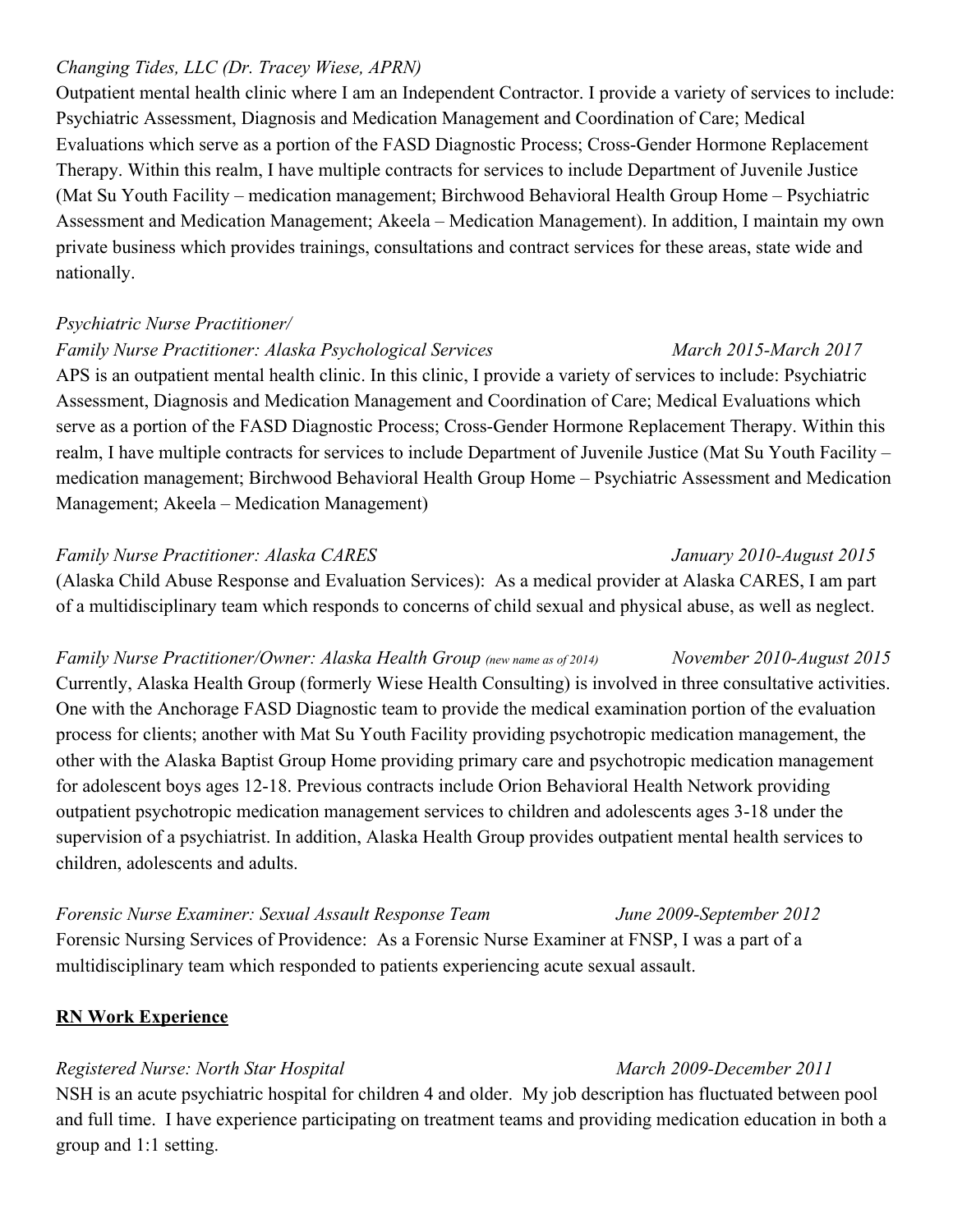### *Changing Tides, LLC (Dr. Tracey Wiese, APRN)*

Outpatient mental health clinic where I am an Independent Contractor. I provide a variety of services to include: Psychiatric Assessment, Diagnosis and Medication Management and Coordination of Care; Medical Evaluations which serve as a portion of the FASD Diagnostic Process; Cross-Gender Hormone Replacement Therapy. Within this realm, I have multiple contracts for services to include Department of Juvenile Justice (Mat Su Youth Facility – medication management; Birchwood Behavioral Health Group Home – Psychiatric Assessment and Medication Management; Akeela – Medication Management). In addition, I maintain my own private business which provides trainings, consultations and contract services for these areas, state wide and nationally.

### *Psychiatric Nurse Practitioner/*

### *Family Nurse Practitioner: Alaska Psychological Services March 2015-March 2017*

APS is an outpatient mental health clinic. In this clinic, I provide a variety of services to include: Psychiatric Assessment, Diagnosis and Medication Management and Coordination of Care; Medical Evaluations which serve as a portion of the FASD Diagnostic Process; Cross-Gender Hormone Replacement Therapy. Within this realm, I have multiple contracts for services to include Department of Juvenile Justice (Mat Su Youth Facility – medication management; Birchwood Behavioral Health Group Home – Psychiatric Assessment and Medication Management; Akeela – Medication Management)

### *Family Nurse Practitioner: Alaska CARES January 2010-August 2015*

(Alaska Child Abuse Response and Evaluation Services): As a medical provider at Alaska CARES, I am part of a multidisciplinary team which responds to concerns of child sexual and physical abuse, as well as neglect.

*Family Nurse Practitioner/Owner: Alaska Health Group (new name as of 2014) November 2010-August 2015* Currently, Alaska Health Group (formerly Wiese Health Consulting) is involved in three consultative activities. One with the Anchorage FASD Diagnostic team to provide the medical examination portion of the evaluation process for clients; another with Mat Su Youth Facility providing psychotropic medication management, the other with the Alaska Baptist Group Home providing primary care and psychotropic medication management for adolescent boys ages 12-18. Previous contracts include Orion Behavioral Health Network providing outpatient psychotropic medication management services to children and adolescents ages 3-18 under the supervision of a psychiatrist. In addition, Alaska Health Group provides outpatient mental health services to children, adolescents and adults.

*Forensic Nurse Examiner: Sexual Assault Response Team June 2009-September 2012* Forensic Nursing Services of Providence: As a Forensic Nurse Examiner at FNSP, I was a part of a multidisciplinary team which responded to patients experiencing acute sexual assault.

### **RN Work Experience**

### *Registered Nurse: North Star Hospital March 2009-December 2011*

NSH is an acute psychiatric hospital for children 4 and older. My job description has fluctuated between pool and full time. I have experience participating on treatment teams and providing medication education in both a group and 1:1 setting.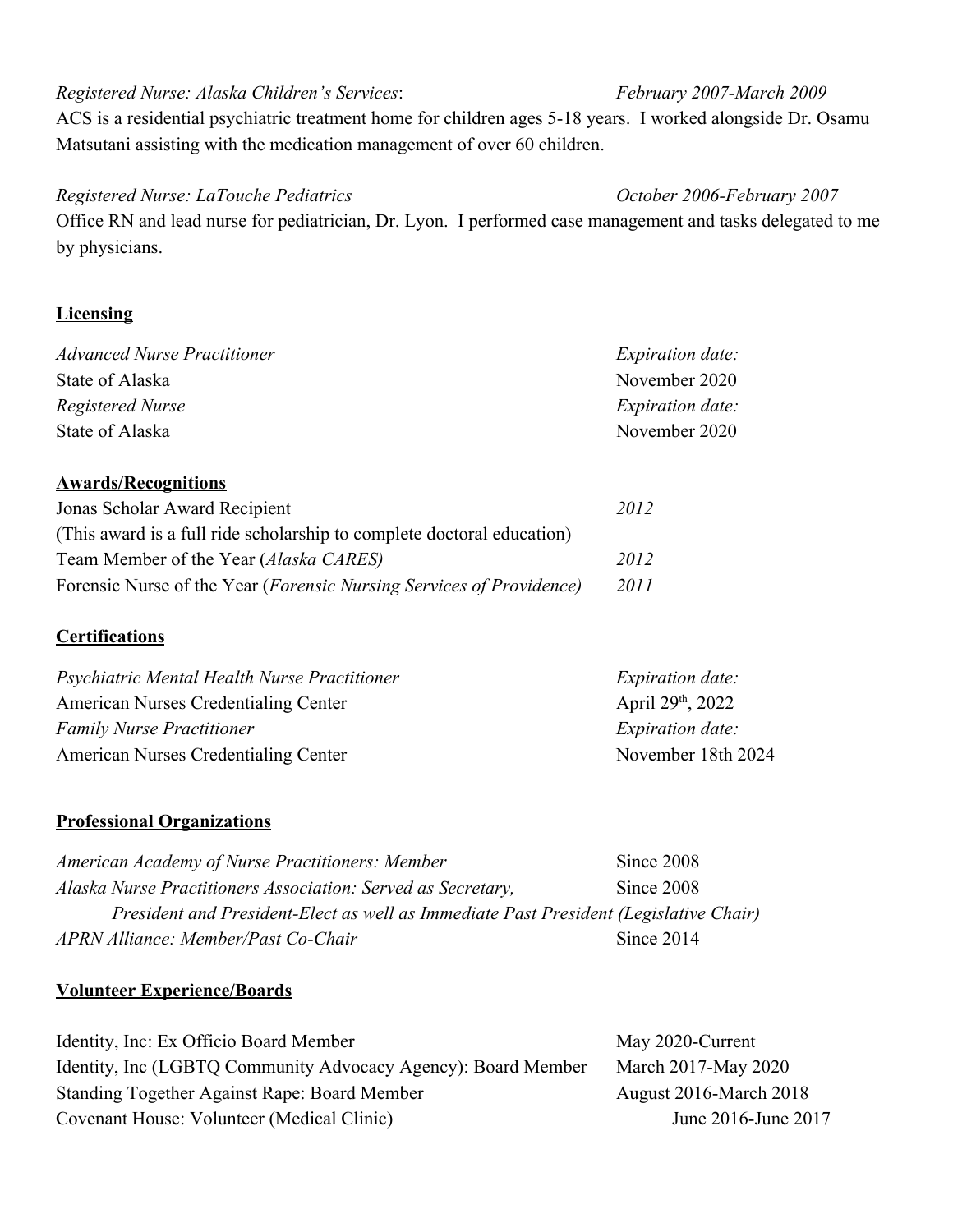## *Registered Nurse: Alaska Children's Services*: *February 2007-March 2009*

ACS is a residential psychiatric treatment home for children ages 5-18 years. I worked alongside Dr. Osamu Matsutani assisting with the medication management of over 60 children.

### *Registered Nurse: LaTouche Pediatrics October 2006-February 2007*

Office RN and lead nurse for pediatrician, Dr. Lyon. I performed case management and tasks delegated to me by physicians.

### **Licensing**

| <b>Advanced Nurse Practitioner</b> | <i>Expiration date:</i> |
|------------------------------------|-------------------------|
| State of Alaska                    | November 2020           |
| Registered Nurse                   | <i>Expiration date:</i> |
| State of Alaska                    | November 2020           |

### **Awards/Recognitions**

| Jonas Scholar Award Recipient                                                 | 2012 |  |
|-------------------------------------------------------------------------------|------|--|
| (This award is a full ride scholarship to complete doctoral education)        |      |  |
| Team Member of the Year (Alaska CARES)                                        | 2012 |  |
| Forensic Nurse of the Year ( <i>Forensic Nursing Services of Providence</i> ) | 2011 |  |

# **Certifications**

| Psychiatric Mental Health Nurse Practitioner | <i>Expiration date:</i>  |
|----------------------------------------------|--------------------------|
| American Nurses Credentialing Center         | April $29^{th}$ , $2022$ |
| <b>Family Nurse Practitioner</b>             | <i>Expiration date:</i>  |
| American Nurses Credentialing Center         | November 18th 2024       |

## **Professional Organizations**

| American Academy of Nurse Practitioners: Member                                       | Since 2008 |
|---------------------------------------------------------------------------------------|------------|
| Alaska Nurse Practitioners Association: Served as Secretary,                          | Since 2008 |
| President and President-Elect as well as Immediate Past President (Legislative Chair) |            |
| APRN Alliance: Member/Past Co-Chair                                                   | Since 2014 |

## **Volunteer Experience/Boards**

| Identity, Inc: Ex Officio Board Member                        | May 2020-Current              |
|---------------------------------------------------------------|-------------------------------|
| Identity, Inc (LGBTQ Community Advocacy Agency): Board Member | March 2017-May 2020           |
| Standing Together Against Rape: Board Member                  | <b>August 2016-March 2018</b> |
| Covenant House: Volunteer (Medical Clinic)                    | June 2016-June 2017           |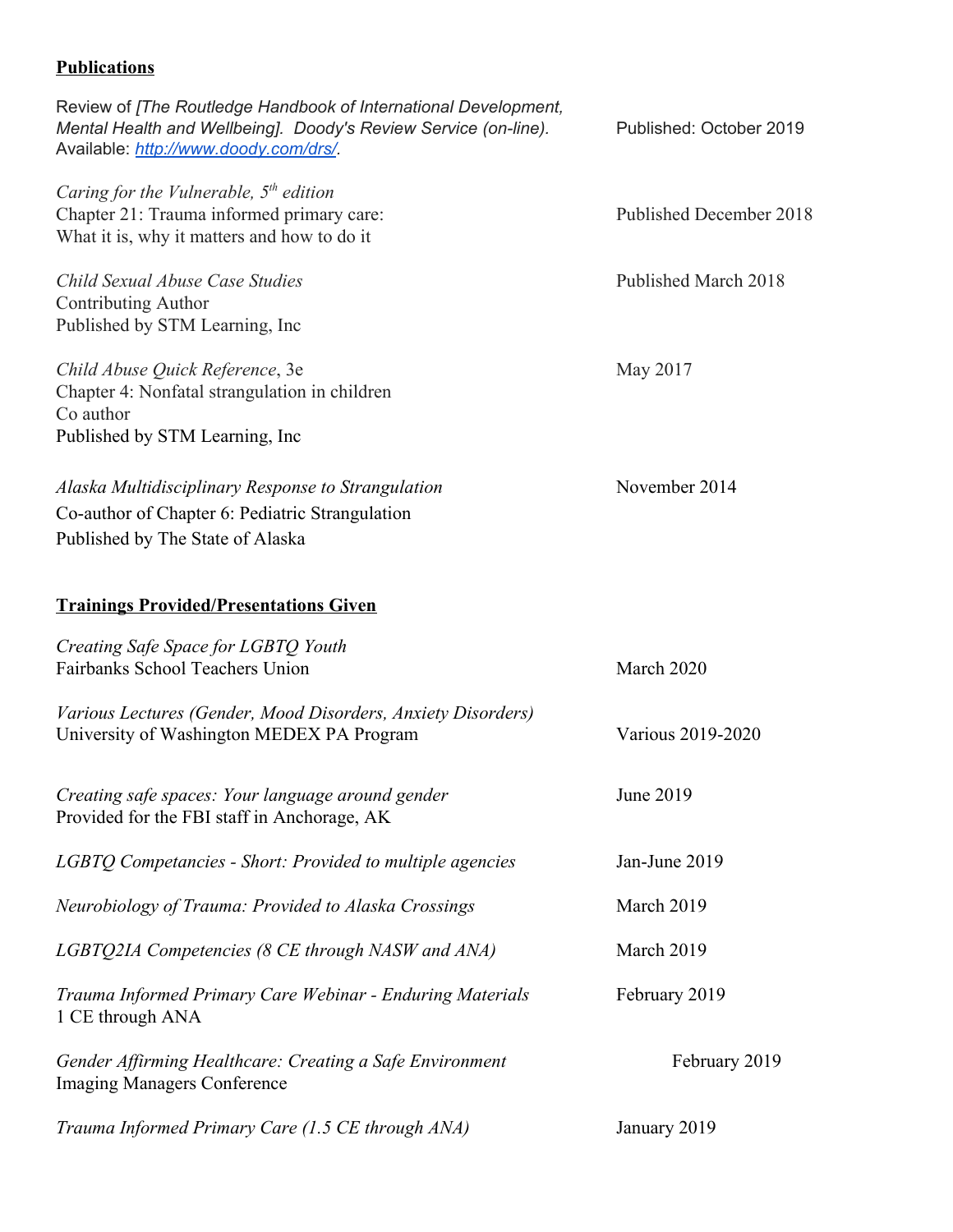# **Publications**

| Review of [The Routledge Handbook of International Development,<br>Mental Health and Wellbeing]. Doody's Review Service (on-line).<br>Available: http://www.doody.com/drs/. | Published: October 2019 |
|-----------------------------------------------------------------------------------------------------------------------------------------------------------------------------|-------------------------|
| Caring for the Vulnerable, $5th$ edition<br>Chapter 21: Trauma informed primary care:<br>What it is, why it matters and how to do it                                        | Published December 2018 |
| Child Sexual Abuse Case Studies<br>Contributing Author<br>Published by STM Learning, Inc.                                                                                   | Published March 2018    |
| Child Abuse Quick Reference, 3e<br>Chapter 4: Nonfatal strangulation in children<br>Co author<br>Published by STM Learning, Inc                                             | May 2017                |
| Alaska Multidisciplinary Response to Strangulation<br>Co-author of Chapter 6: Pediatric Strangulation<br>Published by The State of Alaska                                   | November 2014           |
| <b>Trainings Provided/Presentations Given</b>                                                                                                                               |                         |
| Creating Safe Space for LGBTQ Youth<br>Fairbanks School Teachers Union                                                                                                      | March 2020              |
| Various Lectures (Gender, Mood Disorders, Anxiety Disorders)<br>University of Washington MEDEX PA Program                                                                   | Various 2019-2020       |
| Creating safe spaces: Your language around gender<br>Provided for the FBI staff in Anchorage, AK                                                                            | June 2019               |
| LGBTQ Competancies - Short: Provided to multiple agencies                                                                                                                   | Jan-June 2019           |
| Neurobiology of Trauma: Provided to Alaska Crossings                                                                                                                        | March 2019              |
| LGBTQ2IA Competencies (8 CE through NASW and ANA)                                                                                                                           | March 2019              |
| Trauma Informed Primary Care Webinar - Enduring Materials<br>1 CE through ANA                                                                                               | February 2019           |
| Gender Affirming Healthcare: Creating a Safe Environment<br><b>Imaging Managers Conference</b>                                                                              | February 2019           |
| Trauma Informed Primary Care (1.5 CE through ANA)                                                                                                                           | January 2019            |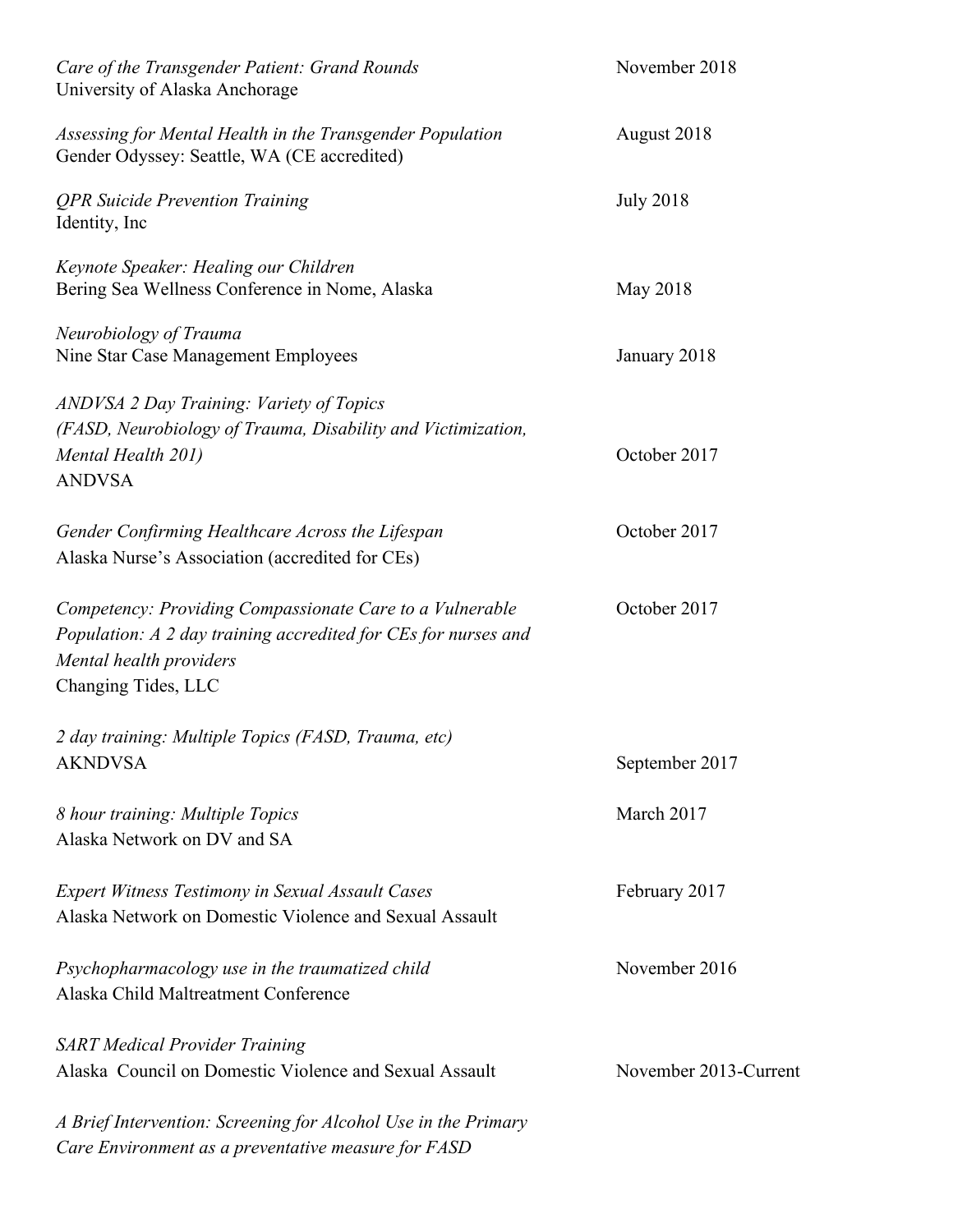| Care of the Transgender Patient: Grand Rounds<br>University of Alaska Anchorage                                                                                              | November 2018         |
|------------------------------------------------------------------------------------------------------------------------------------------------------------------------------|-----------------------|
| Assessing for Mental Health in the Transgender Population<br>Gender Odyssey: Seattle, WA (CE accredited)                                                                     | August 2018           |
| <b>QPR</b> Suicide Prevention Training<br>Identity, Inc.                                                                                                                     | <b>July 2018</b>      |
| Keynote Speaker: Healing our Children<br>Bering Sea Wellness Conference in Nome, Alaska                                                                                      | May 2018              |
| Neurobiology of Trauma<br>Nine Star Case Management Employees                                                                                                                | January 2018          |
| ANDVSA 2 Day Training: Variety of Topics<br>(FASD, Neurobiology of Trauma, Disability and Victimization,<br>Mental Health 201)<br><b>ANDVSA</b>                              | October 2017          |
| Gender Confirming Healthcare Across the Lifespan<br>Alaska Nurse's Association (accredited for CEs)                                                                          | October 2017          |
| Competency: Providing Compassionate Care to a Vulnerable<br>Population: A 2 day training accredited for CEs for nurses and<br>Mental health providers<br>Changing Tides, LLC | October 2017          |
| 2 day training: Multiple Topics (FASD, Trauma, etc)<br><b>AKNDVSA</b>                                                                                                        | September 2017        |
| 8 hour training: Multiple Topics<br>Alaska Network on DV and SA                                                                                                              | March 2017            |
| <b>Expert Witness Testimony in Sexual Assault Cases</b><br>Alaska Network on Domestic Violence and Sexual Assault                                                            | February 2017         |
| Psychopharmacology use in the traumatized child<br>Alaska Child Maltreatment Conference                                                                                      | November 2016         |
| <b>SART Medical Provider Training</b><br>Alaska Council on Domestic Violence and Sexual Assault                                                                              | November 2013-Current |
| A Brief Intervention: Screening for Alcohol Use in the Primary<br>Care Environment as a preventative measure for FASD                                                        |                       |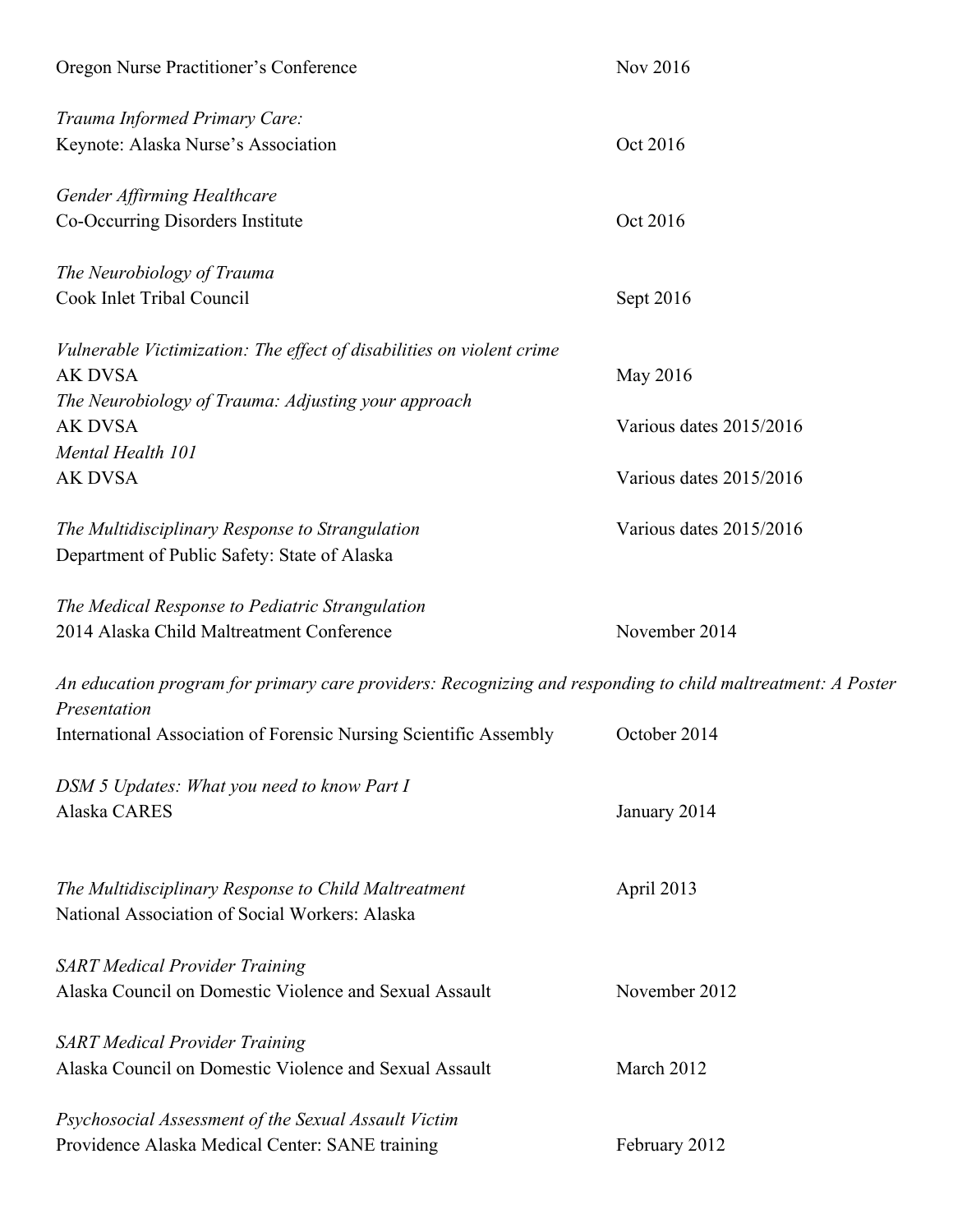| Oregon Nurse Practitioner's Conference                                                                                                         | Nov 2016                |
|------------------------------------------------------------------------------------------------------------------------------------------------|-------------------------|
| Trauma Informed Primary Care:<br>Keynote: Alaska Nurse's Association                                                                           | Oct 2016                |
| Gender Affirming Healthcare<br>Co-Occurring Disorders Institute                                                                                | Oct 2016                |
| The Neurobiology of Trauma                                                                                                                     |                         |
| Cook Inlet Tribal Council                                                                                                                      | Sept 2016               |
| Vulnerable Victimization: The effect of disabilities on violent crime<br><b>AK DVSA</b><br>The Neurobiology of Trauma: Adjusting your approach | May 2016                |
| <b>AK DVSA</b>                                                                                                                                 | Various dates 2015/2016 |
| Mental Health 101<br><b>AK DVSA</b>                                                                                                            | Various dates 2015/2016 |
| The Multidisciplinary Response to Strangulation<br>Department of Public Safety: State of Alaska                                                | Various dates 2015/2016 |
| The Medical Response to Pediatric Strangulation<br>2014 Alaska Child Maltreatment Conference                                                   | November 2014           |
| An education program for primary care providers: Recognizing and responding to child maltreatment: A Poster<br>Presentation                    |                         |
| International Association of Forensic Nursing Scientific Assembly                                                                              | October 2014            |
| DSM 5 Updates: What you need to know Part I<br>Alaska CARES                                                                                    | January 2014            |
| The Multidisciplinary Response to Child Maltreatment<br>National Association of Social Workers: Alaska                                         | April 2013              |
| <b>SART Medical Provider Training</b><br>Alaska Council on Domestic Violence and Sexual Assault                                                | November 2012           |
|                                                                                                                                                |                         |
| <b>SART Medical Provider Training</b><br>Alaska Council on Domestic Violence and Sexual Assault                                                | March 2012              |
| Psychosocial Assessment of the Sexual Assault Victim<br>Providence Alaska Medical Center: SANE training                                        | February 2012           |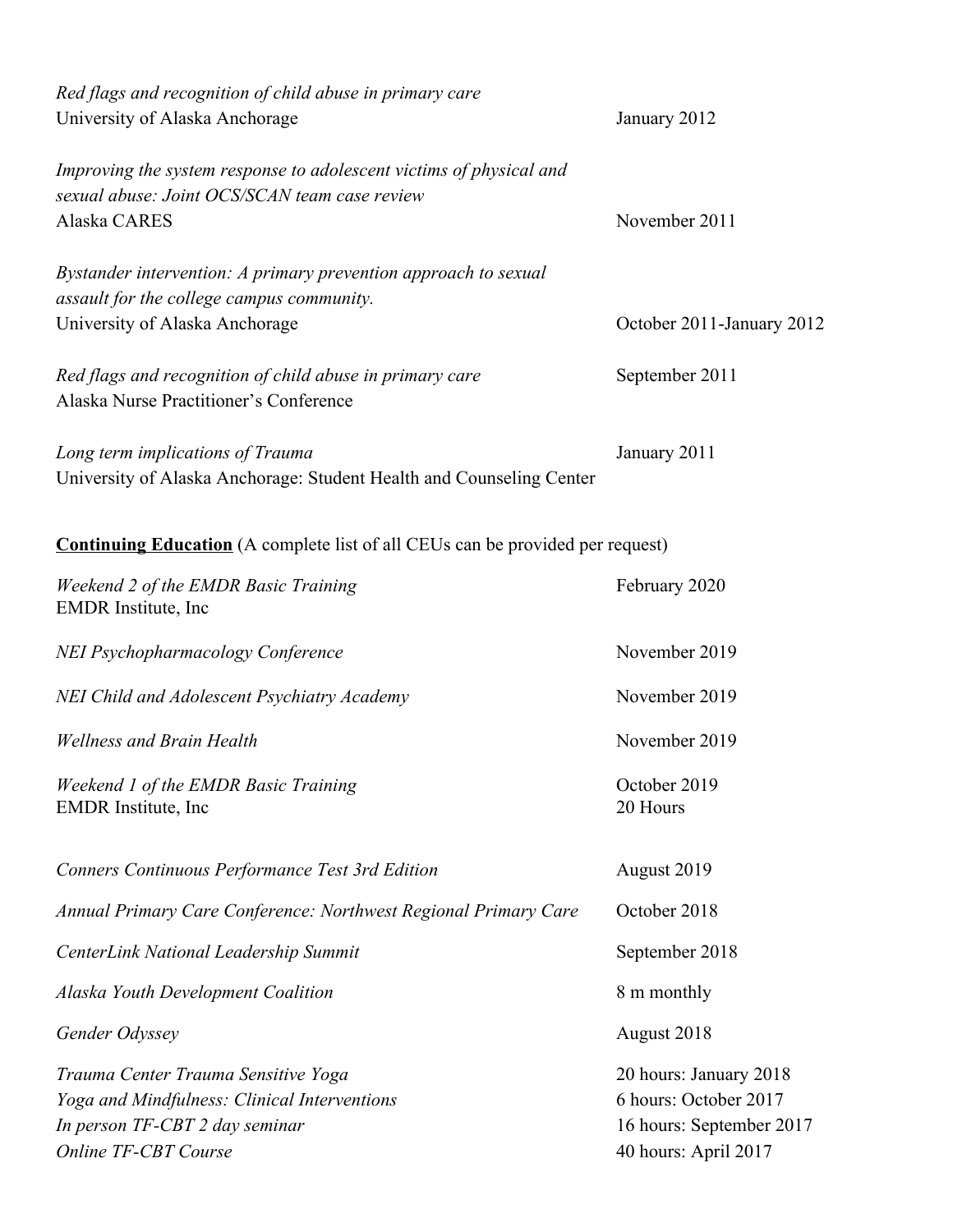| Red flags and recognition of child abuse in primary care<br>University of Alaska Anchorage                                                           | January 2012                                                                                        |
|------------------------------------------------------------------------------------------------------------------------------------------------------|-----------------------------------------------------------------------------------------------------|
| Improving the system response to adolescent victims of physical and<br>sexual abuse: Joint OCS/SCAN team case review<br>Alaska CARES                 | November 2011                                                                                       |
| Bystander intervention: A primary prevention approach to sexual<br>assault for the college campus community.                                         |                                                                                                     |
| University of Alaska Anchorage                                                                                                                       | October 2011-January 2012                                                                           |
| Red flags and recognition of child abuse in primary care<br>Alaska Nurse Practitioner's Conference                                                   | September 2011                                                                                      |
| Long term implications of Trauma<br>University of Alaska Anchorage: Student Health and Counseling Center                                             | January 2011                                                                                        |
| <b>Continuing Education</b> (A complete list of all CEUs can be provided per request)                                                                |                                                                                                     |
| Weekend 2 of the EMDR Basic Training<br><b>EMDR</b> Institute, Inc                                                                                   | February 2020                                                                                       |
| <b>NEI Psychopharmacology Conference</b>                                                                                                             | November 2019                                                                                       |
| NEI Child and Adolescent Psychiatry Academy                                                                                                          | November 2019                                                                                       |
| <b>Wellness and Brain Health</b>                                                                                                                     | November 2019                                                                                       |
| Weekend 1 of the EMDR Basic Training<br><b>EMDR</b> Institute, Inc                                                                                   | October 2019<br>20 Hours                                                                            |
| Conners Continuous Performance Test 3rd Edition                                                                                                      | August 2019                                                                                         |
| Annual Primary Care Conference: Northwest Regional Primary Care                                                                                      | October 2018                                                                                        |
| CenterLink National Leadership Summit                                                                                                                | September 2018                                                                                      |
| <b>Alaska Youth Development Coalition</b>                                                                                                            | 8 m monthly                                                                                         |
| Gender Odyssey                                                                                                                                       | August 2018                                                                                         |
| Trauma Center Trauma Sensitive Yoga<br>Yoga and Mindfulness: Clinical Interventions<br>In person TF-CBT 2 day seminar<br><b>Online TF-CBT Course</b> | 20 hours: January 2018<br>6 hours: October 2017<br>16 hours: September 2017<br>40 hours: April 2017 |